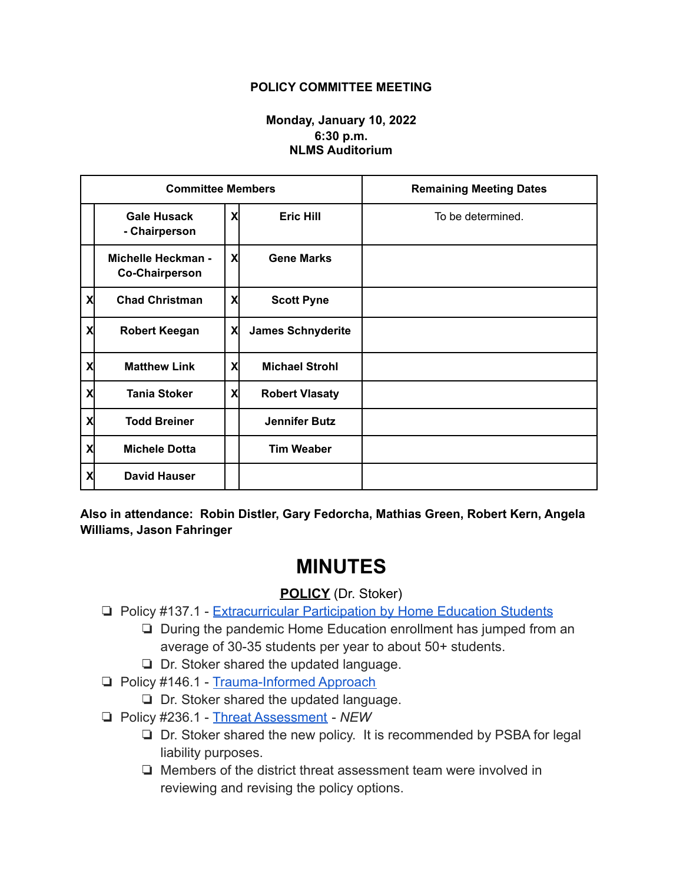## **POLICY COMMITTEE MEETING**

## **Monday, January 10, 2022 6:30 p.m. NLMS Auditorium**

| <b>Committee Members</b> |                                             |    |                          | <b>Remaining Meeting Dates</b> |
|--------------------------|---------------------------------------------|----|--------------------------|--------------------------------|
|                          | <b>Gale Husack</b><br>- Chairperson         | X  | <b>Eric Hill</b>         | To be determined.              |
|                          | Michelle Heckman -<br><b>Co-Chairperson</b> | X  | <b>Gene Marks</b>        |                                |
| X                        | <b>Chad Christman</b>                       | X  | <b>Scott Pyne</b>        |                                |
| X                        | <b>Robert Keegan</b>                        | Χl | <b>James Schnyderite</b> |                                |
| X                        | <b>Matthew Link</b>                         | X  | <b>Michael Strohl</b>    |                                |
| Χ                        | <b>Tania Stoker</b>                         | X  | <b>Robert Vlasaty</b>    |                                |
| X                        | <b>Todd Breiner</b>                         |    | <b>Jennifer Butz</b>     |                                |
| Χ                        | <b>Michele Dotta</b>                        |    | <b>Tim Weaber</b>        |                                |
| X                        | <b>David Hauser</b>                         |    |                          |                                |

**Also in attendance: Robin Distler, Gary Fedorcha, Mathias Green, Robert Kern, Angela Williams, Jason Fahringer**

## **MINUTES**

## **POLICY** (Dr. Stoker)

- ❏ Policy #137.1 [Extracurricular Participation by Home](https://drive.google.com/file/d/1HV1_hnriODfOX_6X3WFUjImoDtREIg5t/view?usp=sharing) Education Students
	- ❏ During the pandemic Home Education enrollment has jumped from an average of 30-35 students per year to about 50+ students.
	- ❏ Dr. Stoker shared the updated language.
- ❏ Policy #146.1 [Trauma-Informed Approach](https://drive.google.com/file/d/1zx28gtvUeuGJAlhV7jh181TSGTXdXaKR/view?usp=sharing)
	- ❏ Dr. Stoker shared the updated language.
- ❏ Policy #236.1 [Threat Assessment](https://drive.google.com/file/d/1I6cGBslFIOE29O3eO68wRJLmZwdNgrPm/view?usp=sharing) *NEW*
	- ❏ Dr. Stoker shared the new policy. It is recommended by PSBA for legal liability purposes.
	- ❏ Members of the district threat assessment team were involved in reviewing and revising the policy options.